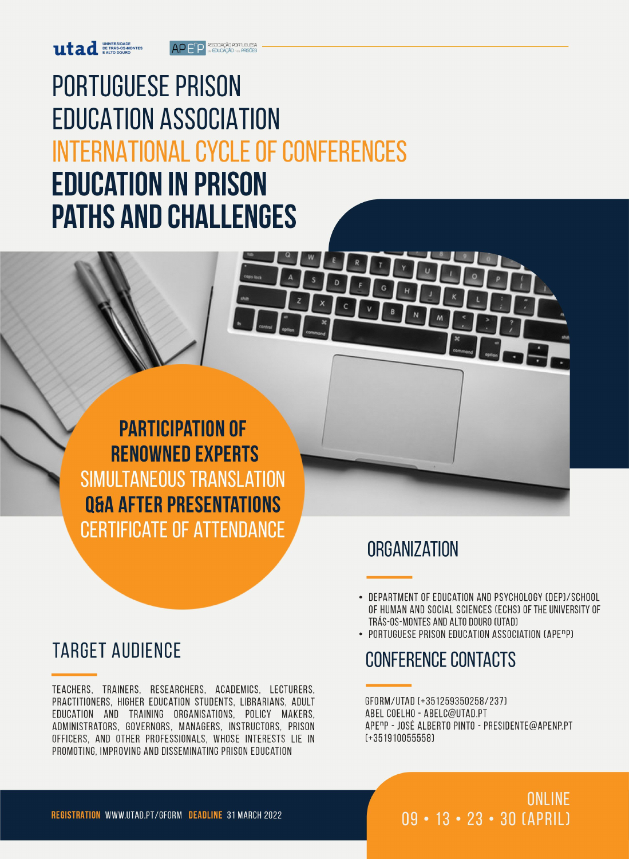ASSOCIAÇÃO PORTUGUESA AP F<sup>n</sup>P

# **PORTUGUESE PRISON EDUCATION ASSOCIATION INTERNATIONAL CYCLE OF CONFERENCES EDUCATION IN PRISON PATHS AND CHALLENGES**

**PARTICIPATION OF RENOWNED EXPERTS** SIMULTANEOUS TRANSLATION **Q&A AFTER PRESENTATIONS CERTIFICATE OF ATTENDANCE** 

# **TARGET AUDIENCE**

TEACHERS, TRAINERS, RESEARCHERS, ACADEMICS, LECTURERS, PRACTITIONERS, HIGHER EDUCATION STUDENTS, LIBRARIANS, ADULT EDUCATION AND TRAINING ORGANISATIONS, POLICY MAKERS, ADMINISTRATORS, GOVERNORS, MANAGERS, INSTRUCTORS, PRISON OFFICERS, AND OTHER PROFESSIONALS, WHOSE INTERESTS LIE IN PROMOTING, IMPROVING AND DISSEMINATING PRISON EDUCATION

## **ORGANIZATION**

- DEPARTMENT OF EDUCATION AND PSYCHOLOGY (DEP)/SCHOOL OF HUMAN AND SOCIAL SCIENCES (ECHS) OF THE UNIVERSITY OF TRÁS-OS-MONTES AND ALTO DOURO (UTAD)
- PORTUGUESE PRISON EDUCATION ASSOCIATION (APE<sup>n</sup>P)

### **CONFERENCE CONTACTS**

GFORM/UTAD (+351259350258/237) ABEL COELHO - ABELC@UTAD.PT APE<sup>n</sup>P - JOSÉ ALBERTO PINTO - PRESIDENTE@APENP.PT  $(+351910055558)$ 

> ONLINE  $09 - 13 - 23 - 30$  (APRIL)